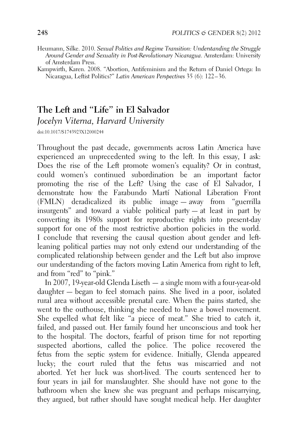Heumann, Silke. 2010. Sexual Politics and Regime Transition: Understanding the Struggle Around Gender and Sexuality in Post-Revolutionary Nicaragua. Amsterdam: University of Amsterdam Press.

Kampwirth, Karen. 2008. "Abortion, Antifeminism and the Return of Daniel Ortega: In Nicaragua, Leftist Politics?" Latin American Perspectives 35 (6): 122–36.

## The Left and "Life" in El Salvador Jocelyn Viterna, Harvard University

doi:10.1017/S1743923X12000244

Throughout the past decade, governments across Latin America have experienced an unprecedented swing to the left. In this essay, I ask: Does the rise of the Left promote women's equality? Or in contrast, could women's continued subordination be an important factor promoting the rise of the Left? Using the case of El Salvador, I demonstrate how the Farabundo Martí National Liberation Front (FMLN) deradicalized its public image — away from "guerrilla insurgents" and toward a viable political party — at least in part by converting its 1980s support for reproductive rights into present-day support for one of the most restrictive abortion policies in the world. I conclude that reversing the causal question about gender and leftleaning political parties may not only extend our understanding of the complicated relationship between gender and the Left but also improve our understanding of the factors moving Latin America from right to left, and from "red" to "pink."

In 2007, 19-year-old Glenda Liseth — a single mom with a four-year-old daughter — began to feel stomach pains. She lived in a poor, isolated rural area without accessible prenatal care. When the pains started, she went to the outhouse, thinking she needed to have a bowel movement. She expelled what felt like "a piece of meat." She tried to catch it, failed, and passed out. Her family found her unconscious and took her to the hospital. The doctors, fearful of prison time for not reporting suspected abortions, called the police. The police recovered the fetus from the septic system for evidence. Initially, Glenda appeared lucky; the court ruled that the fetus was miscarried and not aborted. Yet her luck was short-lived. The courts sentenced her to four years in jail for manslaughter. She should have not gone to the bathroom when she knew she was pregnant and perhaps miscarrying, they argued, but rather should have sought medical help. Her daughter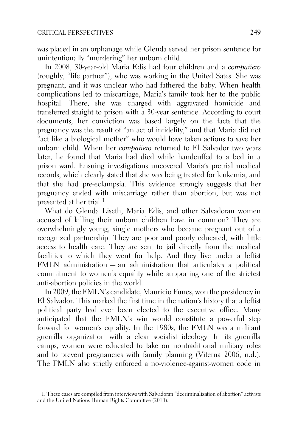was placed in an orphanage while Glenda served her prison sentence for unintentionally "murdering" her unborn child.

In 2008, 30-year-old Maria Edis had four children and a compañero (roughly, "life partner"), who was working in the United Sates. She was pregnant, and it was unclear who had fathered the baby. When health complications led to miscarriage, Maria's family took her to the public hospital. There, she was charged with aggravated homicide and transferred straight to prison with a 30-year sentence. According to court documents, her conviction was based largely on the facts that the pregnancy was the result of "an act of infidelity," and that Maria did not "act like a biological mother" who would have taken actions to save her unborn child. When her *compañero* returned to El Salvador two years later, he found that Maria had died while handcuffed to a bed in a prison ward. Ensuing investigations uncovered Maria's pretrial medical records, which clearly stated that she was being treated for leukemia, and that she had pre-eclampsia. This evidence strongly suggests that her pregnancy ended with miscarriage rather than abortion, but was not presented at her trial.<sup>1</sup>

What do Glenda Liseth, Maria Edis, and other Salvadoran women accused of killing their unborn children have in common? They are overwhelmingly young, single mothers who became pregnant out of a recognized partnership. They are poor and poorly educated, with little access to health care. They are sent to jail directly from the medical facilities to which they went for help. And they live under a leftist FMLN administration — an administration that articulates a political commitment to women's equality while supporting one of the strictest anti-abortion policies in the world.

In 2009, the FMLN's candidate, Mauricio Funes, won the presidency in El Salvador. This marked the first time in the nation's history that a leftist political party had ever been elected to the executive office. Many anticipated that the FMLN's win would constitute a powerful step forward for women's equality. In the 1980s, the FMLN was a militant guerrilla organization with a clear socialist ideology. In its guerrilla camps, women were educated to take on nontraditional military roles and to prevent pregnancies with family planning (Viterna 2006, n.d.). The FMLN also strictly enforced a no-violence-against-women code in

<sup>1.</sup> These cases are compiled from interviews with Salvadoran "decriminalization of abortion" activists and the United Nations Human Rights Committee (2010).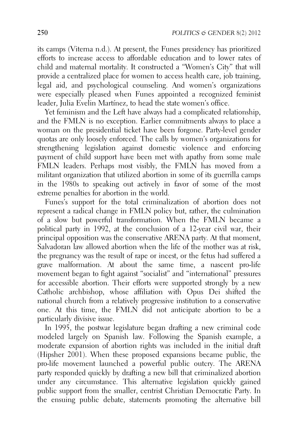its camps (Viterna n.d.). At present, the Funes presidency has prioritized efforts to increase access to affordable education and to lower rates of child and maternal mortality. It constructed a "Women's City" that will provide a centralized place for women to access health care, job training, legal aid, and psychological counseling. And women's organizations were especially pleased when Funes appointed a recognized feminist leader, Julia Evelin Martínez, to head the state women's office.

Yet feminism and the Left have always had a complicated relationship, and the FMLN is no exception. Earlier commitments always to place a woman on the presidential ticket have been forgone. Party-level gender quotas are only loosely enforced. The calls by women's organizations for strengthening legislation against domestic violence and enforcing payment of child support have been met with apathy from some male FMLN leaders. Perhaps most visibly, the FMLN has moved from a militant organization that utilized abortion in some of its guerrilla camps in the 1980s to speaking out actively in favor of some of the most extreme penalties for abortion in the world.

Funes's support for the total criminalization of abortion does not represent a radical change in FMLN policy but, rather, the culmination of a slow but powerful transformation. When the FMLN became a political party in 1992, at the conclusion of a 12-year civil war, their principal opposition was the conservative ARENA party. At that moment, Salvadoran law allowed abortion when the life of the mother was at risk, the pregnancy was the result of rape or incest, or the fetus had suffered a grave malformation. At about the same time, a nascent pro-life movement began to fight against "socialist" and "international" pressures for accessible abortion. Their efforts were supported strongly by a new Catholic archbishop, whose affiliation with Opus Dei shifted the national church from a relatively progressive institution to a conservative one. At this time, the FMLN did not anticipate abortion to be a particularly divisive issue.

In 1995, the postwar legislature began drafting a new criminal code modeled largely on Spanish law. Following the Spanish example, a moderate expansion of abortion rights was included in the initial draft (Hipsher 2001). When these proposed expansions became public, the pro-life movement launched a powerful public outcry. The ARENA party responded quickly by drafting a new bill that criminalized abortion under any circumstance. This alternative legislation quickly gained public support from the smaller, centrist Christian Democratic Party. In the ensuing public debate, statements promoting the alternative bill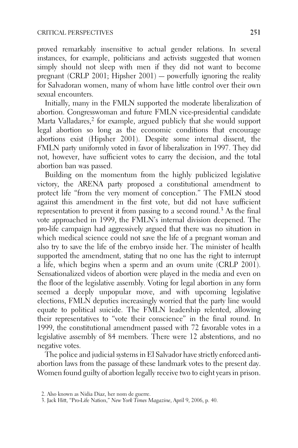proved remarkably insensitive to actual gender relations. In several instances, for example, politicians and activists suggested that women simply should not sleep with men if they did not want to become pregnant (CRLP 2001; Hipsher 2001) — powerfully ignoring the reality for Salvadoran women, many of whom have little control over their own sexual encounters.

Initially, many in the FMLN supported the moderate liberalization of abortion. Congresswoman and future FMLN vice-presidential candidate Marta Valladares,<sup>2</sup> for example, argued publicly that she would support legal abortion so long as the economic conditions that encourage abortions exist (Hipsher 2001). Despite some internal dissent, the FMLN party uniformly voted in favor of liberalization in 1997. They did not, however, have sufficient votes to carry the decision, and the total abortion ban was passed.

Building on the momentum from the highly publicized legislative victory, the ARENA party proposed a constitutional amendment to protect life "from the very moment of conception." The FMLN stood against this amendment in the first vote, but did not have sufficient representation to prevent it from passing to a second round.<sup>3</sup> As the final vote approached in 1999, the FMLN's internal division deepened. The pro-life campaign had aggressively argued that there was no situation in which medical science could not save the life of a pregnant woman and also try to save the life of the embryo inside her. The minister of health supported the amendment, stating that no one has the right to interrupt a life, which begins when a sperm and an ovum unite (CRLP 2001). Sensationalized videos of abortion were played in the media and even on the floor of the legislative assembly. Voting for legal abortion in any form seemed a deeply unpopular move, and with upcoming legislative elections, FMLN deputies increasingly worried that the party line would equate to political suicide. The FMLN leadership relented, allowing their representatives to "vote their conscience" in the final round. In 1999, the constitutional amendment passed with 72 favorable votes in a legislative assembly of 84 members. There were 12 abstentions, and no negative votes.

The police and judicial systems in El Salvador have strictly enforced antiabortion laws from the passage of these landmark votes to the present day. Women found guilty of abortion legally receive two to eight years in prison.

<sup>2.</sup> Also known as Nidia Diaz, her nom de guerre.

<sup>3.</sup> Jack Hitt, "Pro-Life Nation," New York Times Magazine, April 9, 2006, p. 40.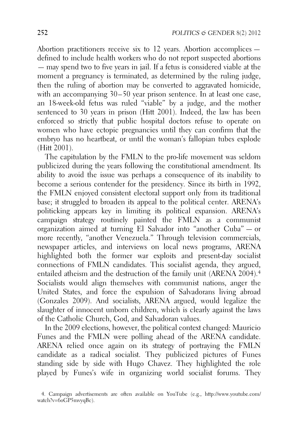Abortion practitioners receive six to 12 years. Abortion accomplices defined to include health workers who do not report suspected abortions — may spend two to five years in jail. If a fetus is considered viable at the moment a pregnancy is terminated, as determined by the ruling judge, then the ruling of abortion may be converted to aggravated homicide, with an accompanying 30–50 year prison sentence. In at least one case, an 18-week-old fetus was ruled "viable" by a judge, and the mother sentenced to 30 years in prison (Hitt 2001). Indeed, the law has been enforced so strictly that public hospital doctors refuse to operate on women who have ectopic pregnancies until they can confirm that the embryo has no heartbeat, or until the woman's fallopian tubes explode (Hitt 2001).

The capitulation by the FMLN to the pro-life movement was seldom publicized during the years following the constitutional amendment. Its ability to avoid the issue was perhaps a consequence of its inability to become a serious contender for the presidency. Since its birth in 1992, the FMLN enjoyed consistent electoral support only from its traditional base; it struggled to broaden its appeal to the political center. ARENA's politicking appears key in limiting its political expansion. ARENA's campaign strategy routinely painted the FMLN as a communist organization aimed at turning El Salvador into "another Cuba" — or more recently, "another Venezuela." Through television commercials, newspaper articles, and interviews on local news programs, ARENA highlighted both the former war exploits and present-day socialist connections of FMLN candidates. This socialist agenda, they argued, entailed atheism and the destruction of the family unit (ARENA 2004).<sup>4</sup> Socialists would align themselves with communist nations, anger the United States, and force the expulsion of Salvadorans living abroad (Gonzales 2009). And socialists, ARENA argued, would legalize the slaughter of innocent unborn children, which is clearly against the laws of the Catholic Church, God, and Salvadoran values.

In the 2009 elections, however, the political context changed: Mauricio Funes and the FMLN were polling ahead of the ARENA candidate. ARENA relied once again on its strategy of portraying the FMLN candidate as a radical socialist. They publicized pictures of Funes standing side by side with Hugo Chavez. They highlighted the role played by Funes's wife in organizing world socialist forums. They

<sup>4.</sup> Campaign advertisements are often available on YouTube (e.g., http://www.youtube.com/ watch?v=6oGP5mvyqBc).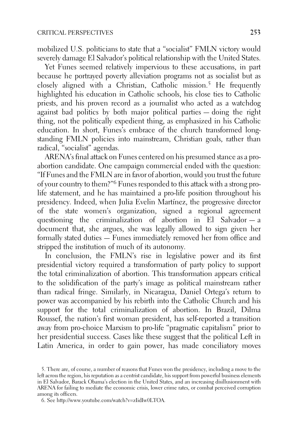Yet Funes seemed relatively impervious to these accusations, in part because he portrayed poverty alleviation programs not as socialist but as closely aligned with a Christian, Catholic mission.<sup>5</sup> He frequently highlighted his education in Catholic schools, his close ties to Catholic priests, and his proven record as a journalist who acted as a watchdog against bad politics by both major political parties — doing the right thing, not the politically expedient thing, as emphasized in his Catholic education. In short, Funes's embrace of the church transformed longstanding FMLN policies into mainstream, Christian goals, rather than radical, "socialist" agendas.

ARENA's final attack on Funes centered on his presumed stance as a proabortion candidate. One campaign commercial ended with the question: "If Funes and the FMLN are in favor of abortion, would you trust the future of your country to them?"<sup>6</sup> Funes responded to this attack with a strong prolife statement, and he has maintained a pro-life position throughout his presidency. Indeed, when Julia Evelin Martínez, the progressive director of the state women's organization, signed a regional agreement questioning the criminalization of abortion in El Salvador — a document that, she argues, she was legally allowed to sign given her formally stated duties — Funes immediately removed her from office and stripped the institution of much of its autonomy.

In conclusion, the FMLN's rise in legislative power and its first presidential victory required a transformation of party policy to support the total criminalization of abortion. This transformation appears critical to the solidification of the party's image as political mainstream rather than radical fringe. Similarly, in Nicaragua, Daniel Ortega's return to power was accompanied by his rebirth into the Catholic Church and his support for the total criminalization of abortion. In Brazil, Dilma Roussef, the nation's first woman president, has self-reported a transition away from pro-choice Marxism to pro-life "pragmatic capitalism" prior to her presidential success. Cases like these suggest that the political Left in Latin America, in order to gain power, has made conciliatory moves

<sup>5.</sup> There are, of course, a number of reasons that Funes won the presidency, including a move to the left across the region, his reputation as a centrist candidate, his support from powerful business elements in El Salvador, Barack Obama's election in the United States, and an increasing disillusionment with ARENA for failing to mediate the economic crisis, lower crime rates, or combat perceived corruption among its officers.

<sup>6.</sup> See http://www.youtube.com/watch?v=zIidIw0LTOA.